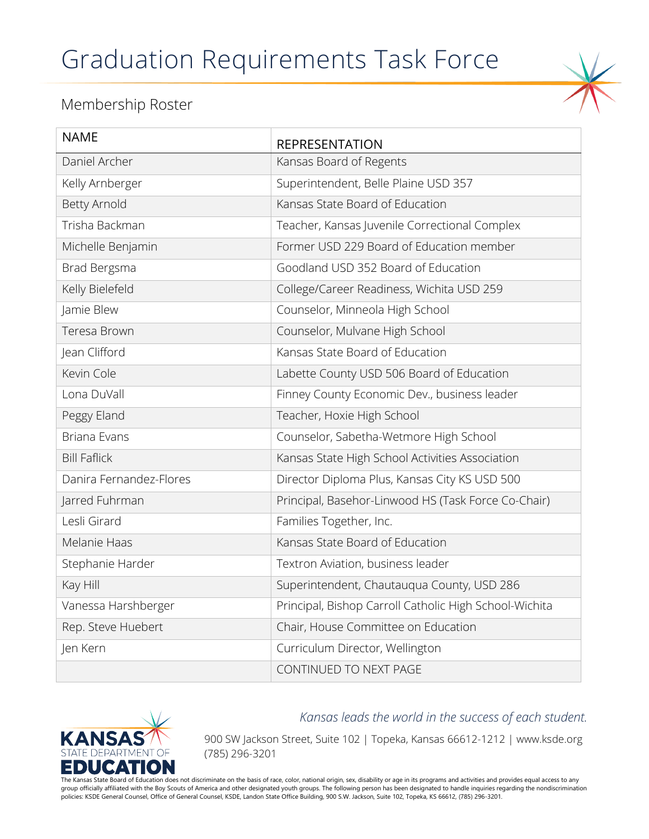## Graduation Requirements Task Force



## Membership Roster

| <b>NAME</b>             | <b>REPRESENTATION</b>                                  |
|-------------------------|--------------------------------------------------------|
| Daniel Archer           | Kansas Board of Regents                                |
| Kelly Arnberger         | Superintendent, Belle Plaine USD 357                   |
| <b>Betty Arnold</b>     | Kansas State Board of Education                        |
| Trisha Backman          | Teacher, Kansas Juvenile Correctional Complex          |
| Michelle Benjamin       | Former USD 229 Board of Education member               |
| Brad Bergsma            | Goodland USD 352 Board of Education                    |
| Kelly Bielefeld         | College/Career Readiness, Wichita USD 259              |
| Jamie Blew              | Counselor, Minneola High School                        |
| Teresa Brown            | Counselor, Mulvane High School                         |
| Jean Clifford           | Kansas State Board of Education                        |
| Kevin Cole              | Labette County USD 506 Board of Education              |
| Lona DuVall             | Finney County Economic Dev., business leader           |
| Peggy Eland             | Teacher, Hoxie High School                             |
| Briana Evans            | Counselor, Sabetha-Wetmore High School                 |
| <b>Bill Faflick</b>     | Kansas State High School Activities Association        |
| Danira Fernandez-Flores | Director Diploma Plus, Kansas City KS USD 500          |
| Jarred Fuhrman          | Principal, Basehor-Linwood HS (Task Force Co-Chair)    |
| Lesli Girard            | Families Together, Inc.                                |
| Melanie Haas            | Kansas State Board of Education                        |
| Stephanie Harder        | Textron Aviation, business leader                      |
| Kay Hill                | Superintendent, Chautauqua County, USD 286             |
| Vanessa Harshberger     | Principal, Bishop Carroll Catholic High School-Wichita |
| Rep. Steve Huebert      | Chair, House Committee on Education                    |
| Jen Kern                | Curriculum Director, Wellington                        |
|                         | CONTINUED TO NEXT PAGE                                 |



*Kansas leads the world in the success of each student.*

900 SW Jackson Street, Suite 102 | Topeka, Kansas 66612-1212 | www.ksde.org (785) 296-3201

The Kansas State Board of Education does not discriminate on the basis of race, color, national origin, sex, disability or age in its programs and activities and provides equal access to any group officially affiliated with the Boy Scouts of America and other designated youth groups. The following person has been designated to handle inquiries regarding the nondiscrimination policies: KSDE General Counsel, Office of General Counsel, KSDE, Landon State Office Building, 900 S.W. Jackson, Suite 102, Topeka, KS 66612, (785) 296-3201.